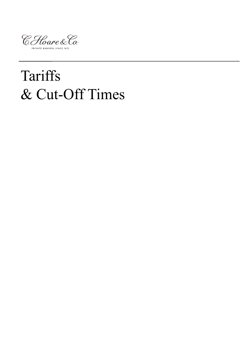

# Tariffs & Cut-Off Times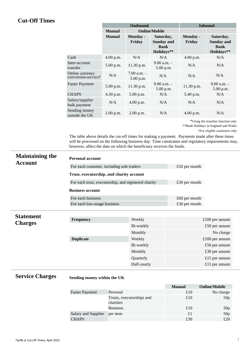## **Cut-Off Times**

|                                                    | <b>Outbound</b> |                              |                                                             | <b>Inbound</b>            |                                                             |
|----------------------------------------------------|-----------------|------------------------------|-------------------------------------------------------------|---------------------------|-------------------------------------------------------------|
|                                                    | <b>Manual</b>   | <b>Online/Mobile</b>         |                                                             |                           |                                                             |
|                                                    | <b>Manual</b>   | Monday -<br>Friday           | Saturday,<br><b>Sunday and</b><br><b>Bank</b><br>Holidays** | <b>Monday</b> -<br>Friday | Saturday,<br><b>Sunday and</b><br><b>Bank</b><br>Holidays** |
| Cash                                               | 4.00 p.m.       | N/A                          | N/A                                                         | 4.00 p.m.                 | N/A                                                         |
| Inter-account<br>transfer                          | $5.00$ p.m.     | 11.30 p.m.                   | $9.00 a.m. -$<br>5.00 p.m.                                  | N/A                       | N/A                                                         |
| Online currency<br>conversion service <sup>†</sup> | N/A             | $7.00$ a.m. $-$<br>5.00 p.m. | N/A                                                         | N/A                       | N/A                                                         |
| <b>Faster Payment</b>                              | 5.00 p.m.       | 11.30 p.m.                   | $9.00 a.m. -$<br>5.00 p.m.                                  | 11.30 p.m.                | $9.00 a.m. -$<br>$5.00$ p.m.                                |
| <b>CHAPS</b>                                       | $4.30$ p.m.     | $5.00$ p.m.                  | N/A                                                         | 5.40 p.m.                 | N/A                                                         |
| Salary/supplier<br>bulk payment                    | N/A             | 4.00 p.m.                    | N/A                                                         | N/A                       | N/A                                                         |
| Sending money<br>outside the UK                    | $2.00$ p.m.     | $2.00$ p.m.                  | N/A                                                         | $4.00$ p.m.               | N/A                                                         |

\*Using the transfers function only

\*\*Bank Holidays in England and Wales

The table above details the cut-off times for making a payment. Payments made after these times will be processed on the following business day. Time constraints and regulatory requirements may, however, affect the date on which the beneficiary receives the funds.

| <b>Maintaining the</b><br><b>Account</b> | <b>Personal account</b>                              |                 |  |  |  |
|------------------------------------------|------------------------------------------------------|-----------------|--|--|--|
|                                          | For each customer, including sole traders            | £50 per month   |  |  |  |
|                                          | Trust, executorship, and charity account             |                 |  |  |  |
|                                          | For each trust, executorship, and registered charity | £30 per month   |  |  |  |
|                                          | <b>Business account</b>                              |                 |  |  |  |
|                                          | For each business                                    | $£60$ per month |  |  |  |
|                                          | For each low-usage business                          | £30 per month   |  |  |  |

| <b>Statement</b> |                  |             |                  |
|------------------|------------------|-------------|------------------|
| <b>Charges</b>   | <b>Frequency</b> | Weekly      | $£100$ per annum |
|                  |                  | Bi-weekly   | $£50$ per annum  |
|                  |                  | Monthly     | No charge        |
|                  | <b>Duplicate</b> | Weekly      | $£100$ per annum |
|                  |                  | Bi-weekly   | $£50$ per annum  |
|                  |                  | Monthly     | £30 per annum    |
|                  |                  | Quarterly   | £15 per annum    |
|                  |                  | Half-yearly | £15 per annum    |

# **Service Charges**

## **Sending money within the UK**

|                       |                                        | <b>Manual</b> | <b>Online/Mobile</b> |
|-----------------------|----------------------------------------|---------------|----------------------|
| <b>Faster Payment</b> | Personal                               | £10           | No charge            |
|                       | Trusts, executorships and<br>charities | £10           | 50p                  |
|                       | <b>Business</b>                        | £10           | 50p                  |
| Salary and Supplier   | per <i>item</i>                        | £1            | 50p                  |
| <b>CHAPS</b>          |                                        | £30           | £20                  |

<sup>†</sup>For eligible customers only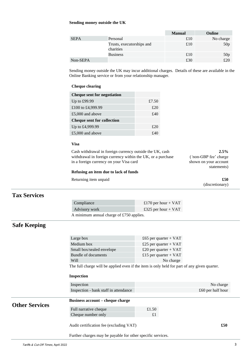#### **Sending money outside the UK**

|             |                                        | <b>Manual</b> | Online          |
|-------------|----------------------------------------|---------------|-----------------|
| <b>SEPA</b> | Personal                               | £10           | No charge       |
|             | Trusts, executorships and<br>charities | £10           | 50p             |
|             | <b>Business</b>                        | £10           | 50 <sub>p</sub> |
| Non-SEPA    |                                        | £30           | £20             |

Sending money outside the UK may incur additional charges. Details of these are available in the Online Banking service or from your relationship manager.

#### **Cheque clearing**

| <b>Cheque sent for negotiation</b> |       |
|------------------------------------|-------|
| Up to $£99.99$                     | £7.50 |
| £100 to £4,999.99                  | £20   |
| £5,000 and above                   | £40   |
| <b>Cheque sent for collection</b>  |       |
| Up to £4,999.99                    | £20   |
| £5,000 and above                   | 4°40  |

### **Visa**

Cash withdrawal in foreign currency outside the UK, cash withdrawal in foreign currency within the UK, or a purchase in a foreign currency on your Visa card

#### **Refusing an item due to lack of funds**

Returning item unpaid **£50** 

**2.5%** (*'*non-GBP fee' charge shown on your account statements)

(discretionary)

## **Tax Services**

| Compliance                               | £170 per hour + $VAT$ |  |
|------------------------------------------|-----------------------|--|
| Advisory work                            | £325 per hour + $VAT$ |  |
| A minimum annual charge of £750 applies. |                       |  |

# **Safe Keeping**

|                       | Large box                                                                                              | £65 per quarter + $VAT$ |                     |  |
|-----------------------|--------------------------------------------------------------------------------------------------------|-------------------------|---------------------|--|
|                       | Medium box                                                                                             | £25 per quarter + $VAT$ |                     |  |
|                       | Small box/sealed envelope                                                                              | £20 per quarter + $VAT$ |                     |  |
|                       | Bundle of documents                                                                                    | £15 per quarter + $VAT$ |                     |  |
|                       | Will                                                                                                   | No charge               |                     |  |
|                       | The full charge will be applied even if the item is only held for part of any given quarter.           |                         |                     |  |
|                       | <b>Inspection</b>                                                                                      |                         |                     |  |
|                       | Inspection                                                                                             |                         | No charge           |  |
|                       | Inspection - bank staff in attendance                                                                  |                         | $£60$ per half hour |  |
| <b>Other Services</b> | <b>Business account – cheque charge</b>                                                                |                         |                     |  |
|                       | Full narrative cheque                                                                                  | £1.50                   |                     |  |
|                       | Cheque number only                                                                                     | £1                      |                     |  |
|                       | Audit certification fee (excluding VAT)<br>Further charges may be payable for other specific services. |                         | \$50                |  |
|                       |                                                                                                        |                         |                     |  |